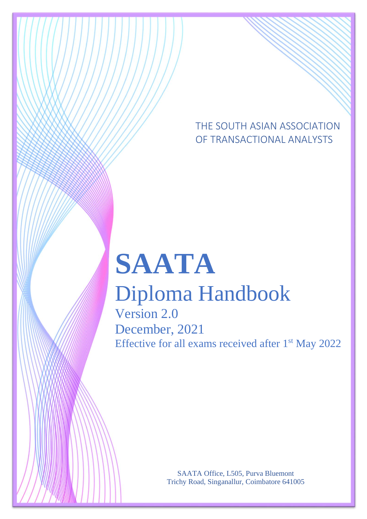THE SOUTH ASIAN ASSOCIATION OF TRANSACTIONAL ANALYSTS

# **SAATA**

# Diploma Handbook

Version 2.0 December, 2021 Effective for all exams received after 1<sup>st</sup> May 2022

> SAATA Office, L505, Purva Bluemont Trichy Road, Singanallur, Coimbatore 641005

SAATA Diploma in Transactional Analysis V 2.0, December 2021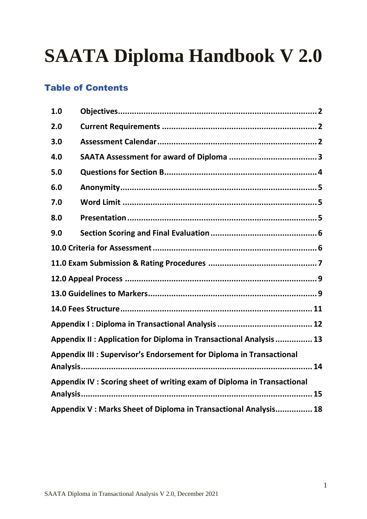# **SAATA Diploma Handbook V 2.0**

# Table of Contents

| 1.0                                                                 |                                                                         |  |  |  |
|---------------------------------------------------------------------|-------------------------------------------------------------------------|--|--|--|
| 2.0                                                                 |                                                                         |  |  |  |
| 3.0                                                                 |                                                                         |  |  |  |
| 4.0                                                                 |                                                                         |  |  |  |
| 5.0                                                                 |                                                                         |  |  |  |
| 6.0                                                                 |                                                                         |  |  |  |
| 7.0                                                                 |                                                                         |  |  |  |
| 8.0                                                                 |                                                                         |  |  |  |
| 9.0                                                                 |                                                                         |  |  |  |
|                                                                     |                                                                         |  |  |  |
|                                                                     |                                                                         |  |  |  |
|                                                                     |                                                                         |  |  |  |
|                                                                     |                                                                         |  |  |  |
|                                                                     |                                                                         |  |  |  |
|                                                                     |                                                                         |  |  |  |
| Appendix II : Application for Diploma in Transactional Analysis  13 |                                                                         |  |  |  |
|                                                                     | Appendix III : Supervisor's Endorsement for Diploma in Transactional    |  |  |  |
|                                                                     | Appendix IV : Scoring sheet of writing exam of Diploma in Transactional |  |  |  |
|                                                                     | Appendix V: Marks Sheet of Diploma in Transactional Analysis 18         |  |  |  |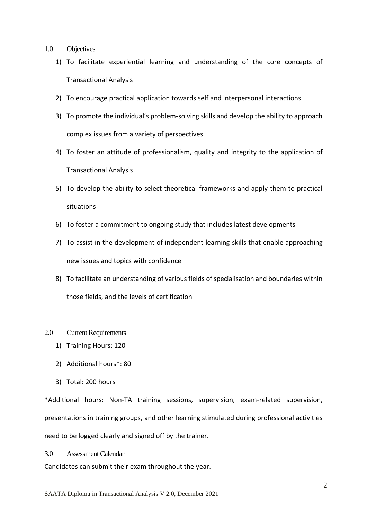- <span id="page-2-0"></span>1.0 Objectives
	- 1) To facilitate experiential learning and understanding of the core concepts of Transactional Analysis
	- 2) To encourage practical application towards self and interpersonal interactions
	- 3) To promote the individual's problem-solving skills and develop the ability to approach complex issues from a variety of perspectives
	- 4) To foster an attitude of professionalism, quality and integrity to the application of Transactional Analysis
	- 5) To develop the ability to select theoretical frameworks and apply them to practical situations
	- 6) To foster a commitment to ongoing study that includes latest developments
	- 7) To assist in the development of independent learning skills that enable approaching new issues and topics with confidence
	- 8) To facilitate an understanding of various fields of specialisation and boundaries within those fields, and the levels of certification
- <span id="page-2-1"></span>2.0 Current Requirements
	- 1) Training Hours: 120
	- 2) Additional hours\*: 80
	- 3) Total: 200 hours

\*Additional hours: Non-TA training sessions, supervision, exam-related supervision, presentations in training groups, and other learning stimulated during professional activities need to be logged clearly and signed off by the trainer.

<span id="page-2-2"></span>3.0 Assessment Calendar

Candidates can submit their exam throughout the year.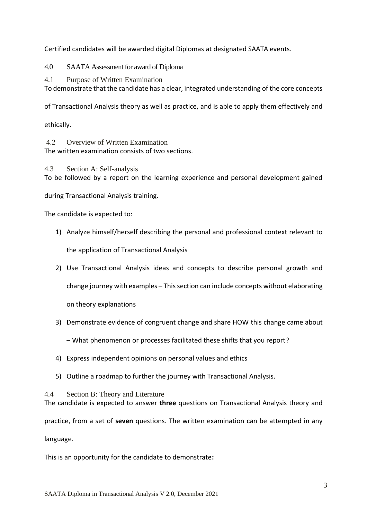Certified candidates will be awarded digital Diplomas at designated SAATA events.

<span id="page-3-0"></span>4.0 SAATA Assessment for award of Diploma

4.1 Purpose of Written Examination

To demonstrate that the candidate has a clear, integrated understanding of the core concepts

of Transactional Analysis theory as well as practice, and is able to apply them effectively and

ethically.

4.2 Overview of Written Examination The written examination consists of two sections.

4.3 Section A: Self-analysis To be followed by a report on the learning experience and personal development gained

during Transactional Analysis training.

The candidate is expected to:

- 1) Analyze himself/herself describing the personal and professional context relevant to the application of Transactional Analysis
- 2) Use Transactional Analysis ideas and concepts to describe personal growth and

change journey with examples – This section can include concepts without elaborating

on theory explanations

3) Demonstrate evidence of congruent change and share HOW this change came about

– What phenomenon or processes facilitated these shifts that you report?

- 4) Express independent opinions on personal values and ethics
- 5) Outline a roadmap to further the journey with Transactional Analysis.

4.4 Section B: Theory and Literature

The candidate is expected to answer **three** questions on Transactional Analysis theory and practice, from a set of **seven** questions. The written examination can be attempted in any language.

This is an opportunity for the candidate to demonstrate**:**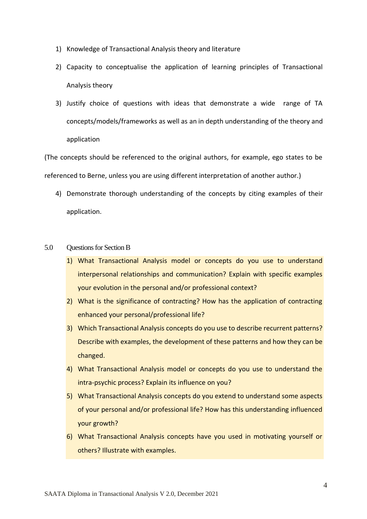- 1) Knowledge of Transactional Analysis theory and literature
- 2) Capacity to conceptualise the application of learning principles of Transactional Analysis theory
- 3) Justify choice of questions with ideas that demonstrate a wide range of TA concepts/models/frameworks as well as an in depth understanding of the theory and application

(The concepts should be referenced to the original authors, for example, ego states to be referenced to Berne, unless you are using different interpretation of another author.)

- 4) Demonstrate thorough understanding of the concepts by citing examples of their application.
- <span id="page-4-0"></span>5.0 Questions for Section B
	- 1) What Transactional Analysis model or concepts do you use to understand interpersonal relationships and communication? Explain with specific examples your evolution in the personal and/or professional context?
	- 2) What is the significance of contracting? How has the application of contracting enhanced your personal/professional life?
	- 3) Which Transactional Analysis concepts do you use to describe recurrent patterns? Describe with examples, the development of these patterns and how they can be changed.
	- 4) What Transactional Analysis model or concepts do you use to understand the intra-psychic process? Explain its influence on you?
	- 5) What Transactional Analysis concepts do you extend to understand some aspects of your personal and/or professional life? How has this understanding influenced your growth?
	- 6) What Transactional Analysis concepts have you used in motivating yourself or others? Illustrate with examples.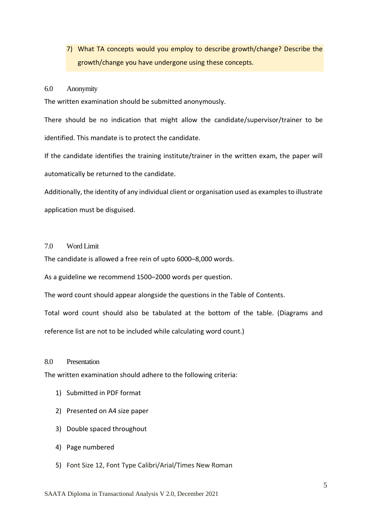# 7) What TA concepts would you employ to describe growth/change? Describe the growth/change you have undergone using these concepts.

#### <span id="page-5-0"></span>6.0 Anonymity

The written examination should be submitted anonymously.

There should be no indication that might allow the candidate/supervisor/trainer to be identified. This mandate is to protect the candidate.

If the candidate identifies the training institute/trainer in the written exam, the paper will automatically be returned to the candidate.

Additionally, the identity of any individual client or organisation used as examples to illustrate application must be disguised.

#### <span id="page-5-1"></span>7.0 Word Limit

The candidate is allowed a free rein of upto 6000–8,000 words.

As a guideline we recommend 1500–2000 words per question.

The word count should appear alongside the questions in the Table of Contents.

Total word count should also be tabulated at the bottom of the table. (Diagrams and

reference list are not to be included while calculating word count.)

#### <span id="page-5-2"></span>8.0 Presentation

The written examination should adhere to the following criteria:

- 1) Submitted in PDF format
- 2) Presented on A4 size paper
- 3) Double spaced throughout
- 4) Page numbered
- 5) Font Size 12, Font Type Calibri/Arial/Times New Roman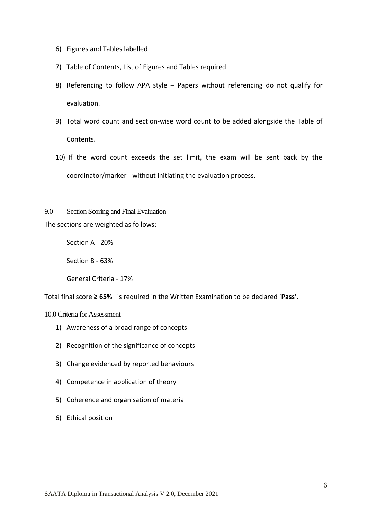- 6) Figures and Tables labelled
- 7) Table of Contents, List of Figures and Tables required
- 8) Referencing to follow APA style Papers without referencing do not qualify for evaluation.
- 9) Total word count and section-wise word count to be added alongside the Table of Contents.
- 10) If the word count exceeds the set limit, the exam will be sent back by the coordinator/marker - without initiating the evaluation process.

<span id="page-6-0"></span>9.0 Section Scoring and Final Evaluation The sections are weighted as follows:

Section A - 20%

Section B - 63%

General Criteria - 17%

Total final score **≥ 65%** is required in the Written Examination to be declared '**Pass'**.

<span id="page-6-1"></span>10.0 Criteria for Assessment

- 1) Awareness of a broad range of concepts
- 2) Recognition of the significance of concepts
- 3) Change evidenced by reported behaviours
- 4) Competence in application of theory
- 5) Coherence and organisation of material
- 6) Ethical position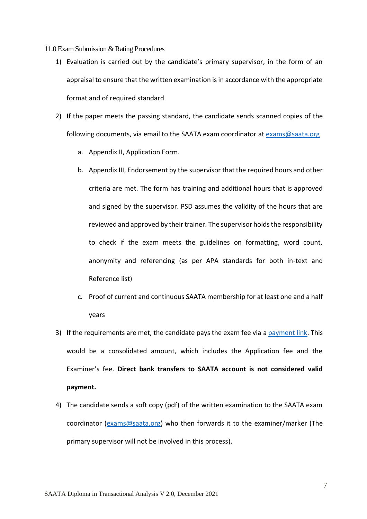<span id="page-7-0"></span>11.0 Exam Submission & Rating Procedures

- 1) Evaluation is carried out by the candidate's primary supervisor, in the form of an appraisal to ensure that the written examination is in accordance with the appropriate format and of required standard
- 2) If the paper meets the passing standard, the candidate sends scanned copies of the following documents, via email to the SAATA exam coordinator at [exams@saata.org](mailto:exams@saata.org)
	- a. Appendix II, Application Form.
	- b. Appendix III, Endorsement by the supervisor that the required hours and other criteria are met. The form has training and additional hours that is approved and signed by the supervisor. PSD assumes the validity of the hours that are reviewed and approved by their trainer. The supervisor holds the responsibility to check if the exam meets the guidelines on formatting, word count, anonymity and referencing (as per APA standards for both in-text and Reference list)
	- c. Proof of current and continuous SAATA membership for at least one and a half years
- 3) If the requirements are met, the candidate pays the exam fee via [a payment link.](#page-11-0) This would be a consolidated amount, which includes the Application fee and the Examiner's fee. **Direct bank transfers to SAATA account is not considered valid payment.**
- 4) The candidate sends a soft copy (pdf) of the written examination to the SAATA exam coordinator [\(exams@saata.org\)](mailto:exams@saata.org) who then forwards it to the examiner/marker (The primary supervisor will not be involved in this process).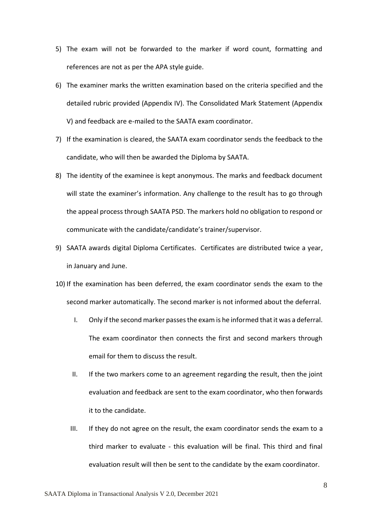- 5) The exam will not be forwarded to the marker if word count, formatting and references are not as per the APA style guide.
- 6) The examiner marks the written examination based on the criteria specified and the detailed rubric provided (Appendix IV). The Consolidated Mark Statement (Appendix V) and feedback are e-mailed to the SAATA exam coordinator.
- 7) If the examination is cleared, the SAATA exam coordinator sends the feedback to the candidate, who will then be awarded the Diploma by SAATA.
- 8) The identity of the examinee is kept anonymous. The marks and feedback document will state the examiner's information. Any challenge to the result has to go through the appeal process through SAATA PSD. The markers hold no obligation to respond or communicate with the candidate/candidate's trainer/supervisor.
- 9) SAATA awards digital Diploma Certificates. Certificates are distributed twice a year, in January and June.
- 10) If the examination has been deferred, the exam coordinator sends the exam to the second marker automatically. The second marker is not informed about the deferral.
	- I. Only if the second marker passes the exam is he informed that it was a deferral. The exam coordinator then connects the first and second markers through email for them to discuss the result.
	- II. If the two markers come to an agreement regarding the result, then the joint evaluation and feedback are sent to the exam coordinator, who then forwards it to the candidate.
	- III. If they do not agree on the result, the exam coordinator sends the exam to a third marker to evaluate - this evaluation will be final. This third and final evaluation result will then be sent to the candidate by the exam coordinator.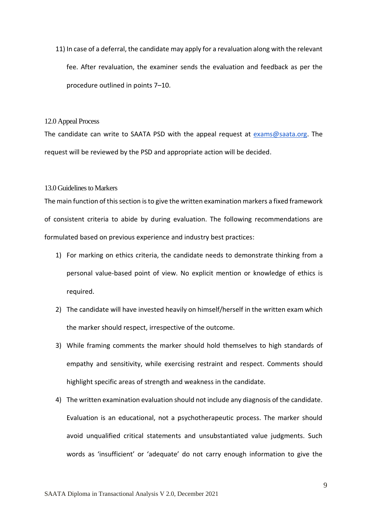11) In case of a deferral, the candidate may apply for a revaluation along with the relevant fee. After revaluation, the examiner sends the evaluation and feedback as per the procedure outlined in points 7–10.

#### <span id="page-9-0"></span>12.0 Appeal Process

The candidate can write to SAATA PSD with the appeal request at [exams@saata.org.](mailto:exams@saata.org) The request will be reviewed by the PSD and appropriate action will be decided.

#### <span id="page-9-1"></span>13.0 Guidelines to Markers

The main function of this section is to give the written examination markers a fixed framework of consistent criteria to abide by during evaluation. The following recommendations are formulated based on previous experience and industry best practices:

- 1) For marking on ethics criteria, the candidate needs to demonstrate thinking from a personal value-based point of view. No explicit mention or knowledge of ethics is required.
- 2) The candidate will have invested heavily on himself/herself in the written exam which the marker should respect, irrespective of the outcome.
- 3) While framing comments the marker should hold themselves to high standards of empathy and sensitivity, while exercising restraint and respect. Comments should highlight specific areas of strength and weakness in the candidate.
- 4) The written examination evaluation should not include any diagnosis of the candidate. Evaluation is an educational, not a psychotherapeutic process. The marker should avoid unqualified critical statements and unsubstantiated value judgments. Such words as 'insufficient' or 'adequate' do not carry enough information to give the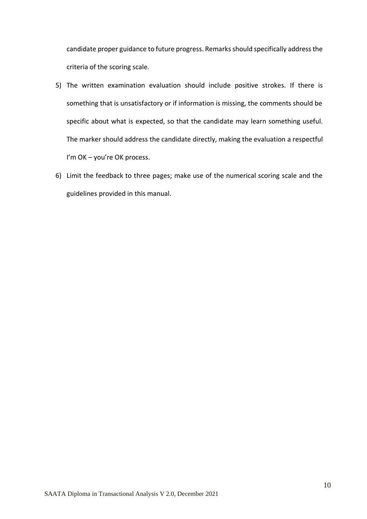candidate proper guidance to future progress. Remarks should specifically address the criteria of the scoring scale.

- 5) The written examination evaluation should include positive strokes. If there is something that is unsatisfactory or if information is missing, the comments should be specific about what is expected, so that the candidate may learn something useful. The marker should address the candidate directly, making the evaluation a respectful I'm OK - you're OK process.
- 6) Limit the feedback to three pages; make use of the numerical scoring scale and the guidelines provided in this manual.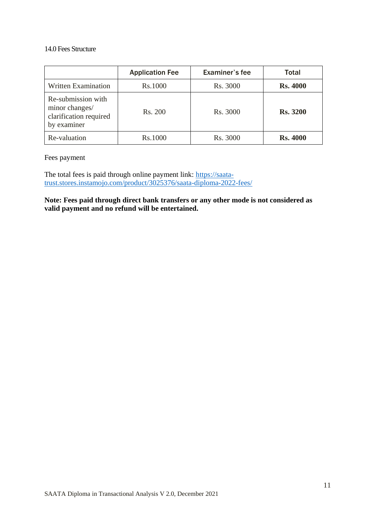#### <span id="page-11-0"></span>14.0 Fees Structure

|                                                                               | <b>Application Fee</b> | Examiner's fee | Total           |
|-------------------------------------------------------------------------------|------------------------|----------------|-----------------|
| Written Examination                                                           | Rs.1000                | Rs. 3000       | <b>Rs. 4000</b> |
| Re-submission with<br>minor changes/<br>clarification required<br>by examiner | Rs. 200                | Rs. 3000       | <b>Rs. 3200</b> |
| Re-valuation                                                                  | Rs.1000                | Rs. 3000       | <b>Rs. 4000</b> |

Fees payment

The total fees is paid through online payment link: [https://saata](https://saata-trust.stores.instamojo.com/product/3025376/saata-diploma-2022-fees/)[trust.stores.instamojo.com/product/3025376/saata-diploma-2022-fees/](https://saata-trust.stores.instamojo.com/product/3025376/saata-diploma-2022-fees/)

**Note: Fees paid through direct bank transfers or any other mode is not considered as valid payment and no refund will be entertained.**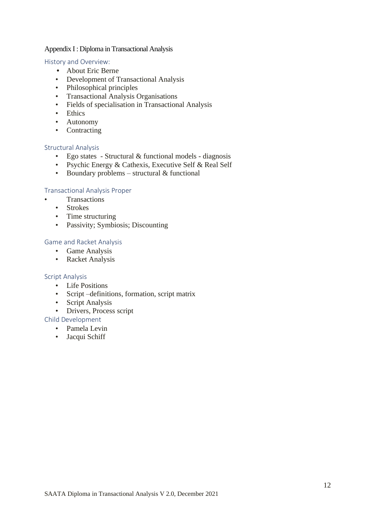#### <span id="page-12-0"></span>Appendix I : Diploma in Transactional Analysis

#### History and Overview:

- About Eric Berne
- Development of Transactional Analysis
- Philosophical principles
- Transactional Analysis Organisations
- Fields of specialisation in Transactional Analysis
- Ethics
- Autonomy
- Contracting

#### Structural Analysis

- Ego states Structural & functional models diagnosis
- Psychic Energy & Cathexis, Executive Self & Real Self
- Boundary problems structural  $&$  functional

#### Transactional Analysis Proper

- Transactions
	- Strokes
	- Time structuring
	- Passivity; Symbiosis; Discounting

#### Game and Racket Analysis

- Game Analysis
- Racket Analysis

#### Script Analysis

- Life Positions
- Script –definitions, formation, script matrix
- Script Analysis
- Drivers, Process script

#### Child Development

- Pamela Levin
- Jacqui Schiff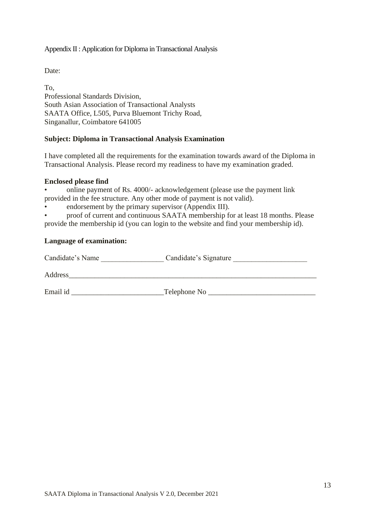#### <span id="page-13-0"></span>Appendix II : Application for Diploma in Transactional Analysis

Date:

To, Professional Standards Division, South Asian Association of Transactional Analysts SAATA Office, L505, Purva Bluemont Trichy Road, Singanallur, Coimbatore 641005

#### **Subject: Diploma in Transactional Analysis Examination**

I have completed all the requirements for the examination towards award of the Diploma in Transactional Analysis. Please record my readiness to have my examination graded.

#### **Enclosed please find**

• online payment of Rs. 4000/- acknowledgement (please use the payment link provided in the fee structure. Any other mode of payment is not valid).

endorsement by the primary supervisor (Appendix III).

• proof of current and continuous SAATA membership for at least 18 months. Please provide the membership id (you can login to the website and find your membership id).

#### **Language of examination:**

| Candidate's Name | Candidate's Signature |
|------------------|-----------------------|
| Address          |                       |
| Email id         | Telephone No          |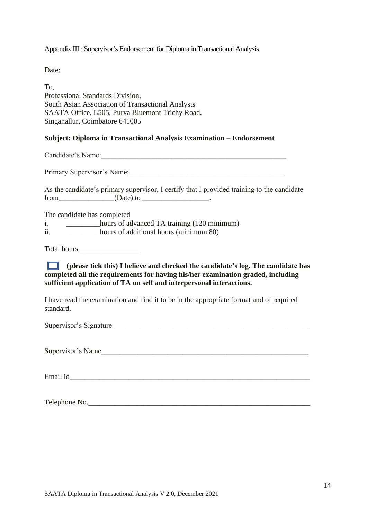<span id="page-14-0"></span>Appendix III : Supervisor's Endorsement for Diploma in Transactional Analysis

Date:

To, Professional Standards Division, South Asian Association of Transactional Analysts SAATA Office, L505, Purva Bluemont Trichy Road, Singanallur, Coimbatore 641005

#### **Subject: Diploma in Transactional Analysis Examination – Endorsement**

Candidate's Name:

Primary Supervisor's Name:

| As the candidate's primary supervisor, I certify that I provided training to the candidate |           |  |  |
|--------------------------------------------------------------------------------------------|-----------|--|--|
| from                                                                                       | (Date) to |  |  |

The candidate has completed

- i. hours of advanced TA training (120 minimum)
- ii. \_\_\_\_\_\_\_\_\_hours of additional hours (minimum 80)

Total hours\_\_\_\_\_\_\_\_\_\_\_\_\_\_\_\_\_

 $\Box$ **(please tick this) I believe and checked the candidate's log. The candidate has completed all the requirements for having his/her examination graded, including sufficient application of TA on self and interpersonal interactions.**

I have read the examination and find it to be in the appropriate format and of required standard.

Supervisor's Signature

Supervisor's Name

Email id

Telephone No.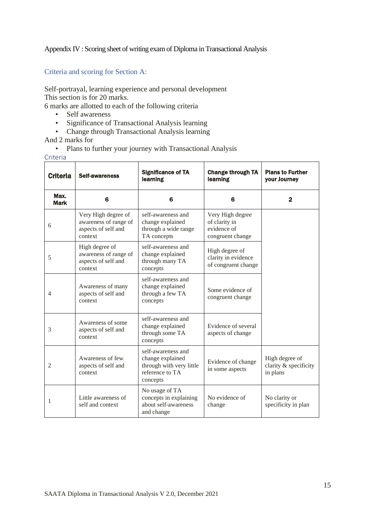#### <span id="page-15-0"></span>Appendix IV : Scoring sheet of writing exam of Diploma in Transactional Analysis

#### Criteria and scoring for Section A:

Self-portrayal, learning experience and personal development This section is for 20 marks.

6 marks are allotted to each of the following criteria

- Self awareness
- Significance of Transactional Analysis learning
- Change through Transactional Analysis learning

And 2 marks for

• Plans to further your journey with Transactional Analysis

Criteria

| <b>Criteria</b>     | <b>Self-awareness</b>                                                          | <b>Significance of TA</b><br>learning                                                             | <b>Change through TA</b><br>learning                                 | <b>Plans to Further</b><br>your Journey             |
|---------------------|--------------------------------------------------------------------------------|---------------------------------------------------------------------------------------------------|----------------------------------------------------------------------|-----------------------------------------------------|
| Max.<br><b>Mark</b> | 6                                                                              | 6                                                                                                 | 6                                                                    | $\mathbf{2}$                                        |
| 6                   | Very High degree of<br>awareness of range of<br>aspects of self and<br>context | self-awareness and<br>change explained<br>through a wide range<br>TA concepts                     | Very High degree<br>of clarity in<br>evidence of<br>congruent change |                                                     |
| 5                   | High degree of<br>awareness of range of<br>aspects of self and<br>context      | self-awareness and<br>change explained<br>through many TA<br>concepts                             | High degree of<br>clarity in evidence<br>of congruent change         |                                                     |
| 4                   | Awareness of many<br>aspects of self and<br>context                            | self-awareness and<br>change explained<br>through a few TA<br>concepts                            | Some evidence of<br>congruent change                                 |                                                     |
| 3                   | Awareness of some<br>aspects of self and<br>context                            | self-awareness and<br>change explained<br>through some TA<br>concepts                             | Evidence of several<br>aspects of change                             |                                                     |
| 2                   | Awareness of few<br>aspects of self and<br>context                             | self-awareness and<br>change explained<br>through with very little<br>reference to TA<br>concepts | Evidence of change<br>in some aspects                                | High degree of<br>clarity & specificity<br>in plans |
| 1                   | Little awareness of<br>self and context                                        | No usage of TA<br>concepts in explaining<br>about self-awareness<br>and change                    | No evidence of<br>change                                             | No clarity or<br>specificity in plan                |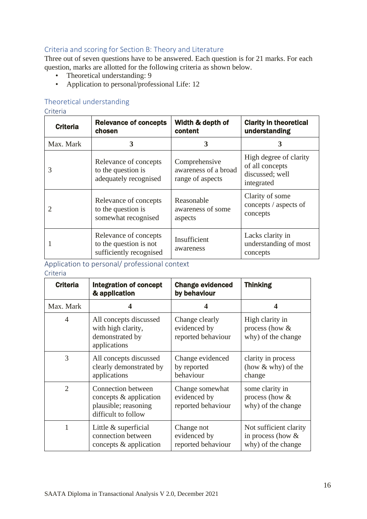### Criteria and scoring for Section B: Theory and Literature

Three out of seven questions have to be answered. Each question is for 21 marks. For each question, marks are allotted for the following criteria as shown below.

- Theoretical understanding: 9
- Application to personal/professional Life: 12

### Theoretical understanding

#### Criteria

| <b>Criteria</b> | <b>Relevance of concepts</b><br>chosen                                     | Width & depth of<br>content                               | <b>Clarity in theoretical</b><br>understanding                             |
|-----------------|----------------------------------------------------------------------------|-----------------------------------------------------------|----------------------------------------------------------------------------|
| Max. Mark       | 3                                                                          | 3                                                         | 3                                                                          |
| 3               | Relevance of concepts<br>to the question is<br>adequately recognised       | Comprehensive<br>awareness of a broad<br>range of aspects | High degree of clarity<br>of all concepts<br>discussed; well<br>integrated |
|                 | Relevance of concepts<br>to the question is<br>somewhat recognised         | Reasonable<br>awareness of some<br>aspects                | Clarity of some<br>concepts / aspects of<br>concepts                       |
|                 | Relevance of concepts<br>to the question is not<br>sufficiently recognised | Insufficient<br>awareness                                 | Lacks clarity in<br>understanding of most<br>concepts                      |

## Application to personal/ professional context

#### Criteria

| <b>Criteria</b> | <b>Integration of concept</b><br>& application                                              | <b>Change evidenced</b><br>by behaviour               | <b>Thinking</b>                                                     |
|-----------------|---------------------------------------------------------------------------------------------|-------------------------------------------------------|---------------------------------------------------------------------|
| Max. Mark       | 4                                                                                           | 4                                                     | 4                                                                   |
| $\overline{4}$  | All concepts discussed<br>with high clarity,<br>demonstrated by<br>applications             | Change clearly<br>evidenced by<br>reported behaviour  | High clarity in<br>process (how $&$<br>why) of the change           |
| 3               | All concepts discussed<br>clearly demonstrated by<br>applications                           | Change evidenced<br>by reported<br>behaviour          | clarity in process<br>(how $&$ why) of the<br>change                |
| $\overline{2}$  | Connection between<br>concepts & application<br>plausible; reasoning<br>difficult to follow | Change somewhat<br>evidenced by<br>reported behaviour | some clarity in<br>process (how $&$<br>why) of the change           |
| 1               | Little & superficial<br>connection between<br>concepts & application                        | Change not<br>evidenced by<br>reported behaviour      | Not sufficient clarity<br>in process (how $&$<br>why) of the change |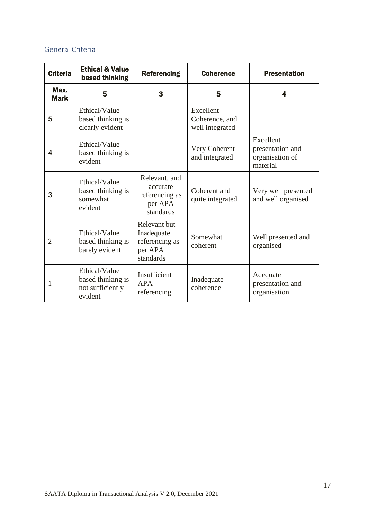# General Criteria

| <b>Criteria</b>     | <b>Ethical &amp; Value</b><br>based thinking                      | <b>Referencing</b>                                                   | <b>Coherence</b>                               | <b>Presentation</b>                                          |
|---------------------|-------------------------------------------------------------------|----------------------------------------------------------------------|------------------------------------------------|--------------------------------------------------------------|
| Max.<br><b>Mark</b> | 5                                                                 | 3                                                                    | 5                                              | 4                                                            |
| 5                   | Ethical/Value<br>based thinking is<br>clearly evident             |                                                                      | Excellent<br>Coherence, and<br>well integrated |                                                              |
| 4                   | Ethical/Value<br>based thinking is<br>evident                     |                                                                      | Very Coherent<br>and integrated                | Excellent<br>presentation and<br>organisation of<br>material |
| 3                   | Ethical/Value<br>based thinking is<br>somewhat<br>evident         | Relevant, and<br>accurate<br>referencing as<br>per APA<br>standards  | Coherent and<br>quite integrated               | Very well presented<br>and well organised                    |
| $\overline{2}$      | Ethical/Value<br>based thinking is<br>barely evident              | Relevant but<br>Inadequate<br>referencing as<br>per APA<br>standards | Somewhat<br>coherent                           | Well presented and<br>organised                              |
| 1                   | Ethical/Value<br>based thinking is<br>not sufficiently<br>evident | Insufficient<br><b>APA</b><br>referencing                            | Inadequate<br>coherence                        | Adequate<br>presentation and<br>organisation                 |